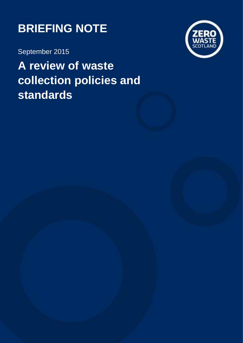

September 2015

**A review of waste collection policies and standards**

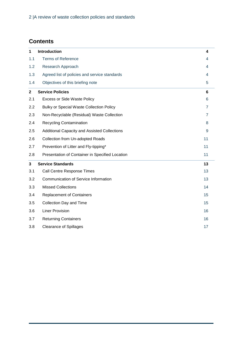# **Contents**

| 1              | <b>Introduction</b>                             | 4              |
|----------------|-------------------------------------------------|----------------|
| 1.1            | <b>Terms of Reference</b>                       | 4              |
| 1.2            | Research Approach                               | 4              |
| 1.3            | Agreed list of policies and service standards   | 4              |
| 1.4            | Objectives of this briefing note                | 5              |
| $\overline{2}$ | <b>Service Policies</b>                         | 6              |
| 2.1            | <b>Excess or Side Waste Policy</b>              | 6              |
| 2.2            | <b>Bulky or Special Waste Collection Policy</b> | $\overline{7}$ |
| 2.3            | Non-Recyclable (Residual) Waste Collection      | $\overline{7}$ |
| 2.4            | <b>Recycling Contamination</b>                  | 8              |
| 2.5            | Additional Capacity and Assisted Collections    | 9              |
| 2.6            | Collection from Un-adopted Roads                | 11             |
| 2.7            | Prevention of Litter and Fly-tipping*           | 11             |
| 2.8            | Presentation of Container in Specified Location | 11             |
| 3              | <b>Service Standards</b>                        | 13             |
| 3.1            | <b>Call Centre Response Times</b>               | 13             |
| 3.2            | Communication of Service Information            | 13             |
| 3.3            | <b>Missed Collections</b>                       | 14             |
| 3.4            | <b>Replacement of Containers</b>                | 15             |
| 3.5            | Collection Day and Time                         | 15             |
| 3.6            | <b>Liner Provision</b>                          | 16             |
| 3.7            | <b>Returning Containers</b>                     | 16             |
| 3.8            | <b>Clearance of Spillages</b>                   | 17             |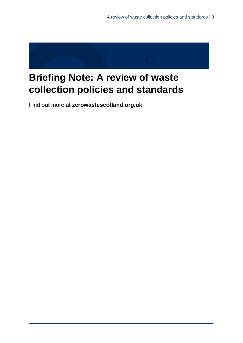

# **Briefing Note: A review of waste collection policies and standards**

Find out more at **[zerowastescotland.org.uk](http://www.zerowastescotland.org.uk/)**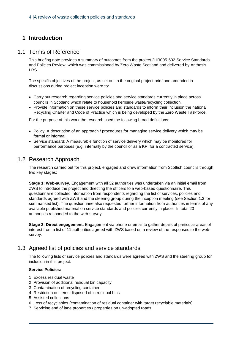# **1 Introduction**

### 1.1 Terms of Reference

This briefing note provides a summary of outcomes from the project 2HR005-502 Service Standards and Policies Review, which was commissioned by Zero Waste Scotland and delivered by Anthesis LRS.

The specific objectives of the project, as set out in the original project brief and amended in discussions during project inception were to:

- Carry out research regarding service policies and service standards currently in place across councils in Scotland which relate to household kerbside waste/recycling collection.
- Provide information on these service policies and standards to inform their inclusion the national Recycling Charter and Code of Practice which is being developed by the Zero Waste Taskforce.

For the purpose of this work the research used the following broad definitions:

- Policy: A description of an approach / procedures for managing service delivery which may be formal or informal.
- Service standard: A measurable function of service delivery which may be monitored for performance purposes (e.g. internally by the council or as a KPI for a contracted service).

# 1.2 Research Approach

The research carried out for this project, engaged and drew information from Scottish councils through two key stages:

**Stage 1: Web-survey.** Engagement with all 32 authorities was undertaken via an initial email from ZWS to introduce the project and directing the officers to a web-based questionnaire. This questionnaire collected information from respondents regarding the list of services, policies and standards agreed with ZWS and the steering group during the inception meeting (see Section [1.3](#page-3-0) for summarised list). The questionnaire also requested further information from authorities in terms of any available published material on service standards and policies currently in place. In total 23 authorities responded to the web-survey.

**Stage 2: Direct engagement.** Engagement via phone or email to gather details of particular areas of interest from a list of 11 authorities agreed with ZWS based on a review of the responses to the websurvey.

# <span id="page-3-0"></span>1.3 Agreed list of policies and service standards

The following lists of service policies and standards were agreed with ZWS and the steering group for inclusion in this project.

#### **Service Policies:**

- 1 Excess residual waste
- 2 Provision of additional residual bin capacity
- 3 Contamination of recycling container
- 4 Restriction on items disposed of in residual bins
- 5 Assisted collections
- 6 Loss of recyclables (contamination of residual container with target recyclable materials)
- 7 Servicing end of lane properties / properties on un-adopted roads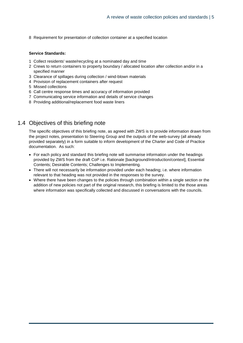8 Requirement for presentation of collection container at a specified location

#### **Service Standards:**

- 1 Collect residents' waste/recycling at a nominated day and time
- 2 Crews to return containers to property boundary / allocated location after collection and/or in a specified manner
- 3 Clearance of spillages during collection / wind-blown materials
- 4 Provision of replacement containers after request
- 5 Missed collections
- 6 Call centre response times and accuracy of information provided
- 7 Communicating service information and details of service changes
- 8 Providing additional/replacement food waste liners

# 1.4 Objectives of this briefing note

The specific objectives of this briefing note, as agreed with ZWS is to provide information drawn from the project notes, presentation to Steering Group and the outputs of the web-survey (all already provided separately) in a form suitable to inform development of the Charter and Code of Practice documentation. As such:

- For each policy and standard this briefing note will summarise information under the headings provided by ZWS from the draft CoP i.e. Rationale [background/introduction/context], Essential Contents; Desirable Contents; Challenges to Implementing.
- There will not necessarily be information provided under each heading; i.e. where information relevant to that heading was not provided in the responses to the survey.
- Where there have been changes to the policies through combination within a single section or the addition of new policies not part of the original research, this briefing is limited to the those areas where information was specifically collected and discussed in conversations with the councils.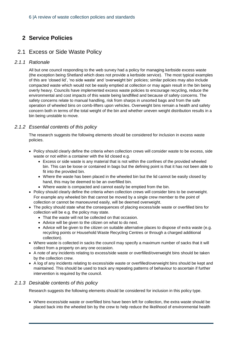# **2 Service Policies**

# 2.1 Excess or Side Waste Policy

### *2.1.1 Rationale*

All but one council responding to the web survey had a policy for managing kerbside excess waste (the exception being Shetland which does not provide a kerbside service). The most typical examples of this are 'closed lid', 'no side waste' and 'overweight bin' policies; similar policies may also include compacted waste which would not be easily emptied at collection or may again result in the bin being overly heavy. Councils have implemented excess waste policies to encourage recycling, reduce the environmental and cost impacts of this waste being landfilled and because of safety concerns. The safety concerns relate to manual handling, risk from sharps in unsorted bags and from the safe operation of wheeled bins on comb-lifters upon vehicles. Overweight bins remain a health and safety concern both in terms of the total weight of the bin and whether uneven weight distribution results in a bin being unstable to move.

### *2.1.2 Essential contents of this policy*

The research suggests the following elements should be considered for inclusion in excess waste policies.

- Policy should clearly define the criteria when collection crews will consider waste to be excess, side waste or not within a container with the lid closed e.g.
	- Excess or side waste is any material that is not within the confines of the provided wheeled bin. This can be loose or contained in bags but the defining point is that it has not been able to fit into the provided bin.
	- Where the waste has been placed in the wheeled bin but the lid cannot be easily closed by hand, this may be deemed to be an overfilled bin.
	- Where waste is compacted and cannot easily be emptied from the bin.
- Policy should clearly define the criteria when collection crews will consider bins to be overweight. For example any wheeled bin that cannot be moved by a single crew member to the point of collection or cannot be manoeuvred easily, will be deemed overweight.
- The policy should state what the consequences of placing excess/side waste or overfilled bins for collection will be e.g. the policy may state.
	- That the waste will not be collected on that occasion.
	- Advice will be given to the citizen on what to do next.
	- Advice will be given to the citizen on suitable alternative places to dispose of extra waste (e.g. recycling points or Household Waste Recycling Centres or through a charged additional collection).
- Where waste is collected in sacks the council may specify a maximum number of sacks that it will collect from a property on any one occasion.
- A note of any incidents relating to excess/side waste or overfilled/overweight bins should be taken by the collection crew.
- A log of any incidents relating to excess/side waste or overfilled/overweight bins should be kept and maintained. This should be used to track any repeating patterns of behaviour to ascertain if further intervention is required by the council.

### *2.1.3 Desirable contents of this policy*

Research suggests the following elements should be considered for inclusion in this policy type.

• Where excess/side waste or overfilled bins have been left for collection, the extra waste should be placed back into the wheeled bin by the crew to help reduce the likelihood of environmental health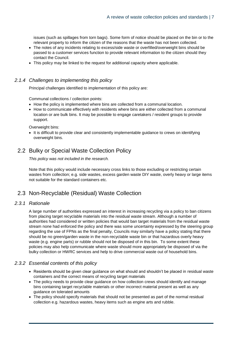issues (such as spillages from torn bags). Some form of notice should be placed on the bin or to the relevant property to inform the citizen of the reasons that the waste has not been collected.

- The notes of any incidents relating to excess/side waste or overfilled/overweight bins should be passed to a customer services function to provide relevant information to the citizen should they contact the Council.
- This policy may be linked to the request for additional capacity where applicable.

#### *2.1.4 Challenges to implementing this policy*

Principal challenges identified to implementation of this policy are:

Communal collections / collection points:

- How the policy is implemented where bins are collected from a communal location.
- How to communicate effectively with residents where bins are either collected from a communal location or are bulk bins. It may be possible to engage caretakers / resident groups to provide support.

Overweight bins:

• It is difficult to provide clear and consistently implementable guidance to crews on identifying overweight bins.

# 2.2 Bulky or Special Waste Collection Policy

*This policy was not included in the research.* 

Note that this policy would include necessary cross links to those excluding or restricting certain wastes from collection; e.g. side wastes, excess garden waste DIY waste, overly heavy or large items not suitable for the standard containers etc.

# 2.3 Non-Recyclable (Residual) Waste Collection

### *2.3.1 Rationale*

A large number of authorities expressed an interest in increasing recycling via a policy to ban citizens from placing target recyclable materials into the residual waste stream. Although a number of authorities had considered or written policies that would ban target materials from the residual waste stream none had enforced the policy and there was some uncertainty expressed by the steering group regarding the use of FPNs as the final penalty, Councils may similarly have a policy stating that there should be no green/garden waste in the non-recyclable waste bin or that hazardous overly heavy waste (e.g. engine parts) or rubble should not be disposed of in this bin. To some extent these policies may also help communicate where waste should more appropriately be disposed of via the bulky collection or HWRC services and help to drive commercial waste out of household bins.

#### *2.3.2 Essential contents of this policy*

- Residents should be given clear guidance on what should and shouldn't be placed in residual waste containers and the correct means of recycling target materials
- The policy needs to provide clear guidance on how collection crews should identify and manage bins containing target recyclable materials or other incorrect material present as well as any guidance on tolerated amounts
- The policy should specify materials that should not be presented as part of the normal residual collection e.g. hazardous wastes, heavy items such as engine arts and rubble.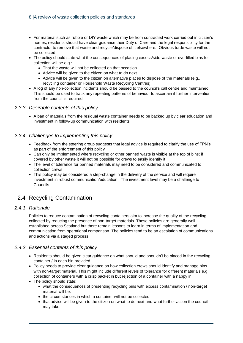- For material such as rubble or DIY waste which may be from contracted work carried out in citizen's homes, residents should have clear guidance their Duty of Care and the legal responsibility for the contractor to remove that waste and recycle/dispose of it elsewhere. Obvious trade waste will not be collected.
- The policy should state what the consequences of placing excess/side waste or overfilled bins for collection will be e.g.:
	- That the waste will not be collected on that occasion.
	- Advice will be given to the citizen on what to do next.
	- Advice will be given to the citizen on alternative places to dispose of the materials (e.g.. recycling container or Household Waste Recycling Centres).
- A log of any non-collection incidents should be passed to the council's call centre and maintained. This should be used to track any repeating patterns of behaviour to ascertain if further intervention from the council is required.

#### *2.3.3 Desirable contents of this policy*

• A ban of materials from the residual waste container needs to be backed up by clear education and investment in follow-up communication with residents

#### *2.3.4 Challenges to implementing this policy*

- Feedback from the steering group suggests that legal advice is required to clarify the use of FPN's as part of the enforcement of this policy
- Can only be implemented where recycling or other banned waste is visible at the top of bins; if covered by other waste it will not be possible for crews to easily identify it
- The level of tolerance for banned materials may need to be considered and communicated to collection crews
- This policy may be considered a step-change in the delivery of the service and will require investment in robust communication/education. The investment level may be a challenge to **Councils**

# 2.4 Recycling Contamination

#### *2.4.1 Rationale*

Policies to reduce contamination of recycling containers aim to increase the quality of the recycling collected by reducing the presence of non-target materials. These policies are generally well established across Scotland but there remain lessons to learn in terms of implementation and communication from operational comparison. The policies tend to be an escalation of communications and actions via a staged process.

#### *2.4.2 Essential contents of this policy*

- Residents should be given clear guidance on what should and shouldn't be placed in the recycling container / in each bin provided
- Policy needs to provide clear guidance on how collection crews should identify and manage bins with non-target material. This might include different levels of tolerance for different materials e.g. collection of containers with a crisp packet in but rejection of a container with a nappy in
- The policy should state:
	- what the consequences of presenting recycling bins with excess contamination / non-target material will be.
	- the circumstances in which a container will not be collected
	- that advice will be given to the citizen on what to do next and what further action the council may take.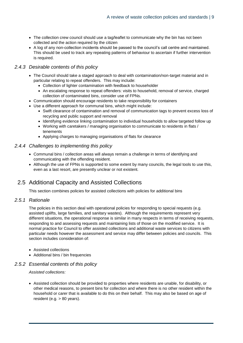- The collection crew council should use a tag/leaflet to communicate why the bin has not been collected and the action required by the citizen
- A log of any non-collection incidents should be passed to the council's call centre and maintained. This should be used to track any repeating patterns of behaviour to ascertain if further intervention is required.

### *2.4.3 Desirable contents of this policy*

- The Council should take a staged approach to deal with contamination/non-target material and in particular relating to repeat offenders. This may include:
	- Collection of lighter contamination with feedback to householder
	- An escalating response to repeat offenders: visits to household, removal of service, charged collection of contaminated bins, consider use of FPNs.
- Communication should encourage residents to take responsibility for containers
- Use a different approach for communal bins, which might include:
	- Swift clearance of contamination and removal of communication tags to prevent excess loss of recycling and public support and removal
	- Identifying evidence linking contamination to individual households to allow targeted follow up
	- Working with caretakers / managing organisation to communicate to residents in flats / tenements
	- Applying charges to managing organisations of flats for clearance

#### *2.4.4 Challenges to implementing this policy*

- Communal bins / collection areas will always remain a challenge in terms of identifying and communicating with the offending resident.
- Although the use of FPNs is supported to some extent by many councils, the legal tools to use this, even as a last resort, are presently unclear or not existent.

# 2.5 Additional Capacity and Assisted Collections

*This section combines policies for assisted collections with policies for additional bins*

#### *2.5.1 Rationale*

The policies in this section deal with operational policies for responding to special requests (e.g. assisted uplifts, large families, and sanitary wastes). Although the requirements represent very different situations, the operational response is similar in many respects in terms of receiving requests, responding to and assessing requests and maintaining lists of those on the modified service. It is normal practice for Council to offer assisted collections and additional waste services to citizens with particular needs however the assessment and service may differ between policies and councils. This section includes consideration of:

- Assisted collections
- Additional bins / bin frequencies

#### *2.5.2 Essential contents of this policy*

#### *Assisted collections:*

• Assisted collection should be provided to properties where residents are unable, for disability, or other medical reasons, to present bins for collection and where there is no other resident within the household or carer that is available to do this on their behalf. This may also be based on age of resident (e.g. > 80 years).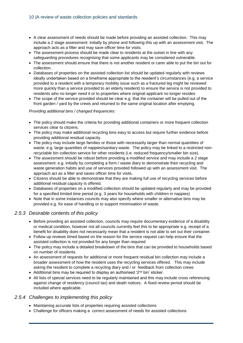- A clear assessment of needs should be made before providing an assisted collection. This may include a 2 stage assessment: initially by phone and following this up with an assessment visit. The approach acts as a filter and may save officer time for visits.
- The assessment process should be made clear to residents at the outset in line with any safeguarding procedures recognising that some applicants may be considered vulnerable.
- The assessment should ensure that there is not another resident or carer able to put the bin out for collection.
- Databases of properties on the assisted collection list should be updated regularly with reviews ideally undertaken based on a timeframe appropriate to the resident's circumstances (e.g. a service provided to a resident with a temporary mobility issue such as a fractured leg might be reviewed more quickly than a service provided to an elderly resident) to ensure the service is not provided to residents who no longer need it or to properties where original applicant no longer resides
- The scope of the service provided should be clear e.g. that the container will be pulled out of the front garden / yard by the crews and returned to the same original location after emptying.

#### *Providing additional bins / changed frequencies:*

- The policy should make the criteria for providing additional containers or more frequent collection services clear to citizens.
- The policy may make additional recycling bins easy to access but require further evidence before providing additional residual capacity.
- The policy may include large families or those with necessarily larger than normal quantities of waste; e.g. large quantities of nappies/sanitary waste. The policy may be linked to a restricted nonrecyclable bin collection service for other residents (i.e. reduced frequency/smaller bin size).
- The assessment should be robust before providing a modified service and may include a 2 stage assessment: e.g. initially by completing a form / waste diary to demonstrate their recycling and waste generation habits and use of services provided followed up with an assessment visit. The approach act as a filter and saves officer time for visits.
- Citizens should be able to demonstrate that they are making full use of recycling services before additional residual capacity is offered.
- Databases of properties on a modified collection should be updated regularly and may be provided for a specified limited time period (e.g. 3 years for households with children in nappies)
- Note that in some instances councils may also specify where smaller or alternative bins may be provided e.g. for ease of handling or to support minimisation of waste.

#### *2.5.3 Desirable contents of this policy*

- Before providing an assisted collection, councils may require documentary evidence of a disability or medical condition, however not all councils currently feel this to be appropriate e.g. receipt of a benefit for disability does not necessarily mean that a resident is not able to set out their container.
- Follow up reviews timed based on the reason for the service request can help ensure that the assisted collection is not provided for any longer than required
- The policy may include a detailed breakdown of the bins that can be provided to households based on number of residents.
- An assessment of requests for additional or more frequent residual bin collection may include a broader assessment of how the resident uses the recycling services offered. This may include asking the resident to complete a recycling diary and / or feedback from collection crews
- Additional bins may be required to display an authorised '2<sup>nd</sup> bin' sticker.
- All lists of special services need to be regularly maintained and this may include cross referencing against change of residency (council tax) and death notices. A fixed review period should be included where applicable.

#### *2.5.4 Challenges to implementing this policy*

- Maintaining accurate lists of properties requiring assisted collections
- Challenge for officers making a correct assessment of needs for assisted collections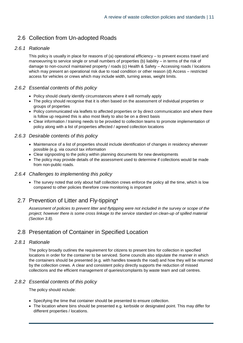# 2.6 Collection from Un-adopted Roads

### *2.6.1 Rationale*

This policy is usually in place for reasons of (a) operational efficiency – to prevent excess travel and manoeuvring to service single or small numbers of properties (b) liability – in terms of the risk of damage to non-council maintained property / roads (c) Health & Safety – Accessing roads / locations which may present an operational risk due to road condition or other reason (d) Access – restricted access for vehicles or crews which may include width, turning areas, weight limits.

### *2.6.2 Essential contents of this policy*

- Policy should clearly identify circumstances where it will normally apply
- The policy should recognise that it is often based on the assessment of individual properties or groups of properties
- Policy communicated via leaflets to affected properties or by direct communication and where there is follow up required this is also most likely to also be on a direct basis
- Clear information / training needs to be provided to collection teams to promote implementation of policy along with a list of properties affected / agreed collection locations

### *2.6.3 Desirable contents of this policy*

- Maintenance of a list of properties should include identification of changes in residency wherever possible (e.g. via council tax information
- Clear signposting to the policy within planning documents for new developments
- The policy may provide details of the assessment used to determine if collections would be made from non-public roads.

#### *2.6.4 Challenges to implementing this policy*

• The survey noted that only about half collection crews enforce the policy all the time, which is low compared to other policies therefore crew monitoring is important

# 2.7 Prevention of Litter and Fly-tipping\*

*Assessment of policies to prevent litter and flytipping were not included in the survey or scope of the project; however there is some cross linkage to the service standard on clean-up of spilled material (Section [3.8\)](#page-16-0).*

# 2.8 Presentation of Container in Specified Location

#### *2.8.1 Rationale*

The policy broadly outlines the requirement for citizens to present bins for collection in specified locations in order for the container to be serviced. Some councils also stipulate the manner in which the containers should be presented (e.g. with handles towards the road) and how they will be returned by the collection crews. A clear and consistent policy directly supports the reduction of missed collections and the efficient management of queries/complaints by waste team and call centres.

### *2.8.2 Essential contents of this policy*

The policy should include:

- Specifying the time that container should be presented to ensure collection.
- The location where bins should be presented e.g. kerbside or designated point. This may differ for different properties / locations.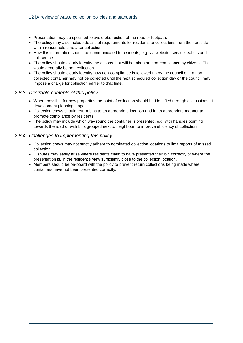- Presentation may be specified to avoid obstruction of the road or footpath.
- The policy may also include details of requirements for residents to collect bins from the kerbside within reasonable time after collection.
- How this information should be communicated to residents, e.g. via website, service leaflets and call centres.
- The policy should clearly identify the actions that will be taken on non-compliance by citizens. This would generally be non-collection.
- The policy should clearly identify how non-compliance is followed up by the council e.g. a noncollected container may not be collected until the next scheduled collection day or the council may impose a charge for collection earlier to that time.

### *2.8.3 Desirable contents of this policy*

- Where possible for new properties the point of collection should be identified through discussions at development planning stage.
- Collection crews should return bins to an appropriate location and in an appropriate manner to promote compliance by residents.
- The policy may include which way round the container is presented, e.g. with handles pointing towards the road or with bins grouped next to neighbour, to improve efficiency of collection.

### *2.8.4 Challenges to implementing this policy*

- Collection crews may not strictly adhere to nominated collection locations to limit reports of missed collection.
- Disputes may easily arise where residents claim to have presented their bin correctly or where the presentation is, in the resident's view sufficiently close to the collection location.
- Members should be on-board with the policy to prevent return collections being made where containers have not been presented correctly.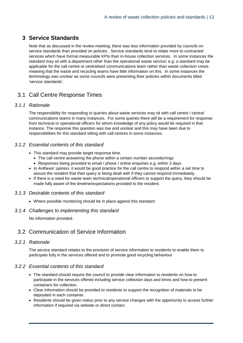# **3 Service Standards**

Note that as discussed in the review meeting, there was less information provided by councils on service standards than provided on policies. Service standards tend to relate more to contracted services which have formal measurable KPIs than in-house collection services. In some instances the standard may sit with a department other than the operational waste service; e.g. a standard may be applicable for the call centre or centralised communications team rather than waste collection crews meaning that the waste and recycling teams have little information on this. In some instances the terminology was unclear as some councils were presenting their policies within documents titled 'service standards'.

# 3.1 Call Centre Response Times

### *3.1.1 Rationale*

The responsibility for responding to queries about waste services may sit with call centre / central communications teams in many instances. For some queries there will be a requirement for response from technical or operational officers for whom knowledge of any policy would be required in that instance. The response this question was low and unclear and this may have been due to responsibilities for this standard sitting with call centres in some instances.

### *3.1.2 Essential contents of this standard*

- This standard may provide target response time.
	- The call centre answering the phone within a certain number seconds/rings
	- Responses being provided to email / phone / online enquiries e.g. within 3 days
- *In Anthesis' opinion,* it would be good practice for the call centre to respond within a set time to assure the resident that their query is being dealt with if they cannot respond immediately.
- If there is a need for waste team technical/operational officers to support the query, they should be made fully aware of the timeline/expectations provided to the resident.

#### *3.1.3 Desirable contents of this standard*

• Where possible monitoring should be in place against this standard

#### *3.1.4 Challenges to implementing this standard*

No information provided.

# 3.2 Communication of Service Information

#### *3.2.1 Rationale*

The service standard relates to the provision of service information to residents to enable them to participate fully in the services offered and to promote good recycling behaviour

### *3.2.2 Essential contents of this standard*

- The standard should require the council to provide clear information to residents on how to participate in the services offered including service collection days and times and how to present containers for collection.
- Clear information should be provided to residents to support the recognition of materials to be deposited in each container.
- Residents should be given notice prior to any service changes with the opportunity to access further information if required via website or direct contact.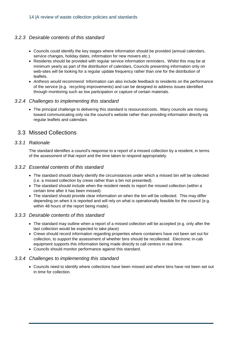### *3.2.3 Desirable contents of this standard*

- Councils could identify the key stages where information should be provided (annual calendars, service changes, holiday dates, information for new movers etc.).
- Residents should be provided with regular service information reminders. Whilst this may be at minimum yearly as part of the distribution of calendars, Councils presenting information only on web-sites will be looking for a regular update frequency rather than one for the distribution of leaflets.
- *Anthesis would recommend:* Information can also include feedback to residents on the performance of the service (e.g. recycling improvements) and can be designed to address issues identified through monitoring such as low participation or capture of certain materials.

#### *3.2.4 Challenges to implementing this standard*

• The principal challenge to delivering this standard is resources/costs. Many councils are moving toward communicating only via the council's website rather than providing information directly via regular leaflets and calendars

# 3.3 Missed Collections

#### *3.3.1 Rationale*

The standard identifies a council's response to a report of a missed collection by a resident, in terms of the assessment of that report and the time taken to respond appropriately.

#### *3.3.2 Essential contents of this standard*

- The standard should clearly identify the circumstances under which a missed bin will be collected (i.e. a missed collection by crews rather than a bin not presented).
- The standard should include when the resident needs to report the missed collection (within a certain time after it has been missed).
- The standard should provide clear information on when the bin will be collected. This may differ depending on when it is reported and will rely on what is operationally feasible for the council (e.g. within 48 hours of the report being made).

#### *3.3.3 Desirable contents of this standard*

- The standard may outline when a report of a missed collection will be accepted (e.g. only after the last collection would be expected to take place)
- Crews should record information regarding properties where containers have not been set out for collection, to support the assessment of whether bins should be recollected. Electronic in-cab equipment supports this information being made directly to call centres in real time.
- Councils should monitor performance against this standard.

#### *3.3.4 Challenges to implementing this standard*

• Councils need to identify where collections have been missed and where bins have not been set out in time for collection.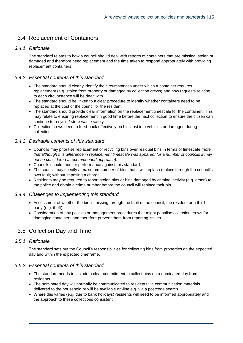# 3.4 Replacement of Containers

### *3.4.1 Rationale*

The standard relates to how a council should deal with reports of containers that are missing, stolen or damaged and therefore need replacement and the time taken to respond appropriately with providing replacement containers.

### *3.4.2 Essential contents of this standard*

- The standard should clearly identify the circumstances under which a container requires replacement (e.g. stolen from property or damaged by collection crews) and how requests relating to each circumstance will be dealt with.
- The standard should be linked to a clear procedure to identify whether containers need to be replaced at the cost of the council or the resident.
- The standard should provide clear information on the replacement timescale for the container. This may relate to ensuring replacement in good time before the next collection to ensure the citizen can continue to recycle / store waste safely.
- Collection crews need to feed-back effectively on bins lost into vehicles or damaged during collection.

#### *3.4.3 Desirable contents of this standard*

- Councils may prioritise replacement of recycling bins over residual bins in terms of timescale *(note that although this difference in replacement timescale was apparent for a number of councils it may not be considered a recommended approach).*
- Councils should monitor performance against this standard.
- The council may specify a maximum number of bins that it will replace (unless through the council's own fault) without imposing a charge.
- Residents may be required to report stolen bins or bins damaged by criminal activity (e.g. arson) to the police and obtain a crime number before the council will replace their bin

#### *3.4.4 Challenges to implementing this standard*

- Assessment of whether the bin is missing through the fault of the council, the resident or a third party (e.g. theft)
- Consideration of any policies or management procedures that might penalise collection crews for damaging containers and therefore prevent them from reporting issues.

# 3.5 Collection Day and Time

### *3.5.1 Rationale*

The standard sets out the Council's responsibilities for collecting bins from properties on the expected day and within the expected timeframe.

#### *3.5.2 Essential contents of this standard*

- The standard needs to include a clear commitment to collect bins on a nominated day from residents.
- The nominated day will normally be communicated to residents via communication materials delivered to the household or will be available on-line e.g. via a postcode search.
- Where this varies (e.g. due to bank holidays) residents will need to be informed appropriately and the approach to these collections consistent.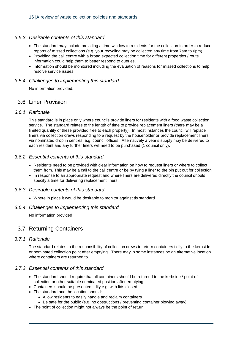#### *3.5.3 Desirable contents of this standard*

- The standard may include providing a time window to residents for the collection in order to reduce reports of missed collections (e.g. your recycling may be collected any time from 7am to 6pm).
- Providing the call centre with a broad expected collection time for different properties / route information could help them to better respond to queries.
- Information should be monitored including the evaluation of reasons for missed collections to help resolve service issues.

#### *3.5.4 Challenges to implementing this standard*

No information provided.

### 3.6 Liner Provision

#### *3.6.1 Rationale*

This standard is in place only where councils provide liners for residents with a food waste collection service. The standard relates to the length of time to provide replacement liners (there may be a limited quantity of these provided free to each property). In most instances the council will replace liners via collection crews responding to a request by the householder or provide replacement liners via nominated drop in centres; e.g. council offices. Alternatively a year's supply may be delivered to each resident and any further liners will need to be purchased (1 council only).

#### *3.6.2 Essential contents of this standard*

- Residents need to be provided with clear information on how to request liners or where to collect them from. This may be a call to the call centre or be by tying a liner to the bin put out for collection.
- In response to an appropriate request and where liners are delivered directly the council should specify a time for delivering replacement liners.

#### *3.6.3 Desirable contents of this standard*

• Where in place it would be desirable to monitor against tis standard

#### *3.6.4 Challenges to implementing this standard*

No information provided

# 3.7 Returning Containers

#### *3.7.1 Rationale*

The standard relates to the responsibility of collection crews to return containers tidily to the kerbside or nominated collection point after emptying. There may in some instances be an alternative location where containers are returned to.

#### *3.7.2 Essential contents of this standard*

- The standard should require that all containers should be returned to the kerbside / point of collection or other suitable nominated position after emptying
- Containers should be presented tidily e.g. with lids closed
- The standard and the location should:
	- Allow residents to easily handle and reclaim containers
	- Be safe for the public (e.g. no obstructions / preventing container blowing away)
- The point of collection might not always be the point of return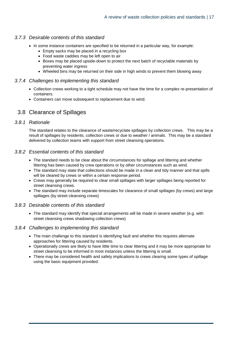#### *3.7.3 Desirable contents of this standard*

- In some instance containers are specified to be returned in a particular way, for example:
	- Empty sacks may be placed in a recycling box
	- Food waste caddies may be left open to air
	- Boxes may be placed upside-down to protect the next batch of recyclable materials by preventing water ingress
	- Wheeled bins may be returned on their side in high winds to prevent them blowing away

#### *3.7.4 Challenges to implementing this standard*

- Collection crews working to a tight schedule may not have the time for a complex re-presentation of containers.
- <span id="page-16-0"></span>• Containers can move subsequent to replacement due to wind.

# 3.8 Clearance of Spillages

#### *3.8.1 Rationale*

The standard relates to the clearance of waste/recyclate spillages by collection crews. This may be a result of spillages by residents, collection crews or due to weather / animals. This may be a standard delivered by collection teams with support from street cleansing operations.

#### *3.8.2 Essential contents of this standard*

- The standard needs to be clear about the circumstances for spillage and littering and whether littering has been caused by crew operations or by other circumstances such as wind.
- The standard may state that collections should be made in a clean and tidy manner and that spills will be cleared by crews or within a certain response period.
- Crews may generally be required to clear small spillages with larger spillages being reported for street cleansing crews.
- The standard may include separate timescales for clearance of small spillages (by crews) and large spillages (by street cleansing crews)

#### *3.8.3 Desirable contents of this standard*

• The standard may identify that special arrangements will be made in severe weather (e.g. with street cleansing crews shadowing collection crews)

#### *3.8.4 Challenges to implementing this standard*

- The main challenge to this standard is identifying fault and whether this requires alternate approaches for littering caused by residents.
- Operationally crews are likely to have little time to clear littering and it may be more appropriate for street cleansing to be informed in most instances unless the littering is small.
- There may be considered health and safety implications to crews clearing some types of spillage using the basic equipment provided.